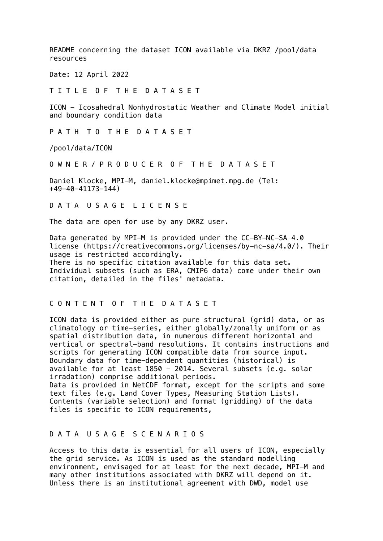README concerning the dataset ICON available via DKRZ /pool/data resources

Date: 12 April 2022

T I T L E O F T H E D A T A S E T

ICON - Icosahedral Nonhydrostatic Weather and Climate Model initial and boundary condition data

P A T H T O T H E D A T A S E T

/pool/data/ICON

O W N E R / P R O D U C E R O F T H E D A T A S E T

Daniel Klocke, MPI-M, daniel.klocke@mpimet.mpg.de (Tel: +49-40-41173-144)

D A T A U S A G E L I C E N S E

The data are open for use by any DKRZ user.

Data generated by MPI-M is provided under the CC-BY-NC-SA 4.0 license (https://creativecommons.org/licenses/by-nc-sa/4.0/). Their usage is restricted accordingly. There is no specific citation available for this data set. Individual subsets (such as ERA, CMIP6 data) come under their own citation, detailed in the files' metadata.

## C O N T E N T O F T H E D A T A S E T

ICON data is provided either as pure structural (grid) data, or as climatology or time-series, either globally/zonally uniform or as spatial distribution data, in numerous different horizontal and vertical or spectral-band resolutions. It contains instructions and scripts for generating ICON compatible data from source input. Boundary data for time-dependent quantities (historical) is available for at least 1850 - 2014. Several subsets (e.g. solar irradation) comprise additional periods. Data is provided in NetCDF format, except for the scripts and some text files (e.g. Land Cover Types, Measuring Station Lists).

Contents (variable selection) and format (gridding) of the data files is specific to ICON requirements,

## D A T A U S A G E S C E N A R I O S

Access to this data is essential for all users of ICON, especially the grid service. As ICON is used as the standard modelling environment, envisaged for at least for the next decade, MPI-M and many other institutions associated with DKRZ will depend on it. Unless there is an institutional agreement with DWD, model use